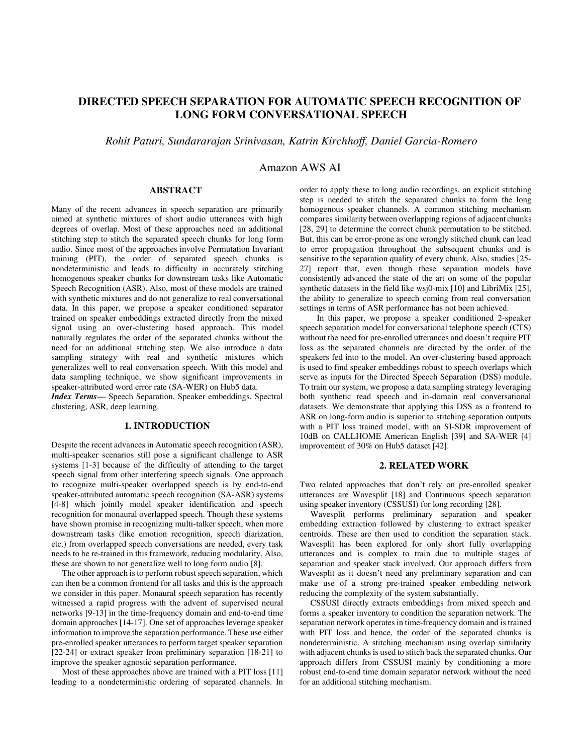# **DIRECTED SPEECH SEPARATION FOR AUTOMATIC SPEECH RECOGNITION OF LONG FORM CONVERSATIONAL SPEECH**

*Rohit Paturi, Sundararajan Srinivasan, Katrin Kirchhoff, Daniel Garcia-Romero* 

## Amazon AWS AI

### **ABSTRACT**

Many of the recent advances in speech separation are primarily aimed at synthetic mixtures of short audio utterances with high degrees of overlap. Most of these approaches need an additional stitching step to stitch the separated speech chunks for long form audio. Since most of the approaches involve Permutation Invariant training (PIT), the order of separated speech chunks is nondeterministic and leads to difficulty in accurately stitching homogenous speaker chunks for downstream tasks like Automatic Speech Recognition (ASR). Also, most of these models are trained with synthetic mixtures and do not generalize to real conversational data. In this paper, we propose a speaker conditioned separator trained on speaker embeddings extracted directly from the mixed signal using an over-clustering based approach. This model naturally regulates the order of the separated chunks without the need for an additional stitching step. We also introduce a data sampling strategy with real and synthetic mixtures which generalizes well to real conversation speech. With this model and data sampling technique, we show significant improvements in speaker-attributed word error rate (SA-WER) on Hub5 data.

*Index Terms*— Speech Separation, Speaker embeddings, Spectral clustering, ASR, deep learning.

#### **1. INTRODUCTION**

Despite the recent advances in Automatic speech recognition (ASR), multi-speaker scenarios still pose a significant challenge to ASR systems [1-3] because of the difficulty of attending to the target speech signal from other interfering speech signals. One approach to recognize multi-speaker overlapped speech is by end-to-end speaker-attributed automatic speech recognition (SA-ASR) systems [4-8] which jointly model speaker identification and speech recognition for monaural overlapped speech. Though these systems have shown promise in recognizing multi-talker speech, when more downstream tasks (like emotion recognition, speech diarization, etc.) from overlapped speech conversations are needed, every task needs to be re-trained in this framework, reducing modularity. Also, these are shown to not generalize well to long form audio [8].

 The other approach is to perform robust speech separation, which can then be a common frontend for all tasks and this is the approach we consider in this paper. Monaural speech separation has recently witnessed a rapid progress with the advent of supervised neural networks [9-13] in the time-frequency domain and end-to-end time domain approaches [14-17]. One set of approaches leverage speaker information to improve the separation performance. These use either pre-enrolled speaker utterances to perform target speaker separation [22-24] or extract speaker from preliminary separation [18-21] to improve the speaker agnostic separation performance.

 Most of these approaches above are trained with a PIT loss [11] leading to a nondeterministic ordering of separated channels. In

order to apply these to long audio recordings, an explicit stitching step is needed to stitch the separated chunks to form the long homogenous speaker channels. A common stitching mechanism compares similarity between overlapping regions of adjacent chunks [28, 29] to determine the correct chunk permutation to be stitched. But, this can be error-prone as one wrongly stitched chunk can lead to error propagation throughout the subsequent chunks and is sensitive to the separation quality of every chunk. Also, studies [25- 27] report that, even though these separation models have consistently advanced the state of the art on some of the popular synthetic datasets in the field like wsj0-mix [10] and LibriMix [25], the ability to generalize to speech coming from real conversation settings in terms of ASR performance has not been achieved.

In this paper, we propose a speaker conditioned 2-speaker speech separation model for conversational telephone speech (CTS) without the need for pre-enrolled utterances and doesn't require PIT loss as the separated channels are directed by the order of the speakers fed into to the model. An over-clustering based approach is used to find speaker embeddings robust to speech overlaps which serve as inputs for the Directed Speech Separation (DSS) module. To train our system, we propose a data sampling strategy leveraging both synthetic read speech and in-domain real conversational datasets. We demonstrate that applying this DSS as a frontend to ASR on long-form audio is superior to stitching separation outputs with a PIT loss trained model, with an SI-SDR improvement of 10dB on CALLHOME American English [39] and SA-WER [4] improvement of 30% on Hub5 dataset [42].

#### **2. RELATED WORK**

Two related approaches that don't rely on pre-enrolled speaker utterances are Wavesplit [18] and Continuous speech separation using speaker inventory (CSSUSI) for long recording [28].

 Wavesplit performs preliminary separation and speaker embedding extraction followed by clustering to extract speaker centroids. These are then used to condition the separation stack. Wavesplit has been explored for only short fully overlapping utterances and is complex to train due to multiple stages of separation and speaker stack involved. Our approach differs from Wavesplit as it doesn't need any preliminary separation and can make use of a strong pre-trained speaker embedding network reducing the complexity of the system substantially.

 CSSUSI directly extracts embeddings from mixed speech and forms a speaker inventory to condition the separation network. The separation network operates in time-frequency domain and is trained with PIT loss and hence, the order of the separated chunks is nondeterministic. A stitching mechanism using overlap similarity with adjacent chunks is used to stitch back the separated chunks. Our approach differs from CSSUSI mainly by conditioning a more robust end-to-end time domain separator network without the need for an additional stitching mechanism.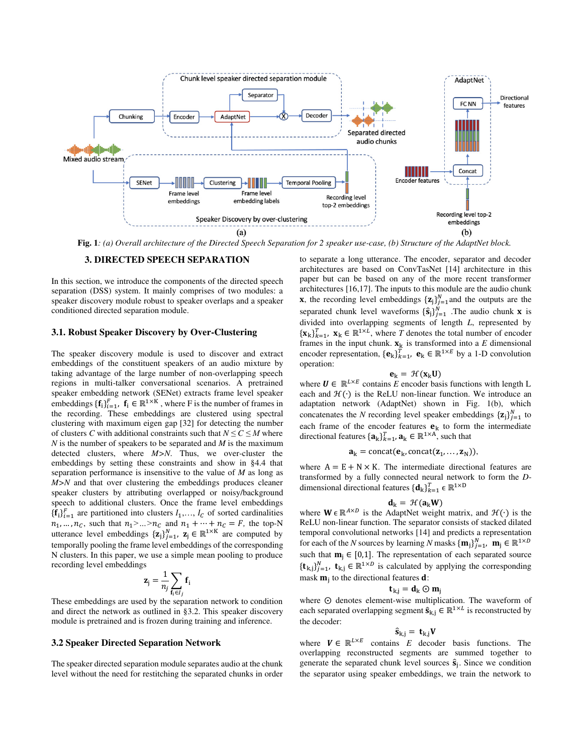

**Fig. 1***: (a) Overall architecture of the Directed Speech Separation for 2 speaker use-case, (b) Structure of the AdaptNet block.* 

#### **3. DIRECTED SPEECH SEPARATION**

In this section, we introduce the components of the directed speech separation (DSS) system. It mainly comprises of two modules: a speaker discovery module robust to speaker overlaps and a speaker conditioned directed separation module.

#### **3.1. Robust Speaker Discovery by Over-Clustering**

The speaker discovery module is used to discover and extract embeddings of the constituent speakers of an audio mixture by taking advantage of the large number of non-overlapping speech regions in multi-talker conversational scenarios. A pretrained speaker embedding network (SENet) extracts frame level speaker embeddings  $\{\mathbf{f}_i\}_{i=1}^F$ ,  $\mathbf{f}_i \in \mathbb{R}^{1 \times K}$ , where F is the number of frames in the recording. These embeddings are clustered using spectral clustering with maximum eigen gap [32] for detecting the number of clusters *C* with additional constraints such that  $N \leq C \leq M$  where *N* is the number of speakers to be separated and *M* is the maximum detected clusters, where *M>N*. Thus, we over-cluster the embeddings by setting these constraints and show in §4.4 that separation performance is insensitive to the value of *M* as long as *M>N* and that over clustering the embeddings produces cleaner speaker clusters by attributing overlapped or noisy/background speech to additional clusters. Once the frame level embeddings  $\{\mathbf{f_i}\}_{i=1}^F$  are partitioned into clusters  $I_1, \ldots, I_C$  of sorted cardinalities  $n_1, ..., n_C$ , such that  $n_1 > ... > n_C$  and  $n_1 + ... + n_C = F$ , the top-N utterance level embeddings  $\{z_j\}_{j=1}^N$ ,  $z_j \in \mathbb{R}^{1 \times K}$  are computed by temporally pooling the frame level embeddings of the corresponding N clusters. In this paper, we use a simple mean pooling to produce recording level embeddings

$$
\mathbf{z}_{j} = \frac{1}{n_{j}} \sum_{\mathbf{f}_{i} \in I_{j}} \mathbf{f}_{i}
$$

These embeddings are used by the separation network to condition and direct the network as outlined in §3.2. This speaker discovery module is pretrained and is frozen during training and inference.

#### **3.2 Speaker Directed Separation Network**

The speaker directed separation module separates audio at the chunk level without the need for restitching the separated chunks in order to separate a long utterance. The encoder, separator and decoder architectures are based on ConvTasNet [14] architecture in this paper but can be based on any of the more recent transformer architectures [16,17]. The inputs to this module are the audio chunk **x**, the recording level embeddings  $\{z_j\}_{j=1}^N$  and the outputs are the separated chunk level waveforms  $\{\hat{\mathbf{s}}_j\}_{j=1}^N$  . The audio chunk **x** is divided into overlapping segments of length *L*, represented by  $\{\mathbf x_k\}_{k=1}^T$ ,  $\mathbf x_k \in \mathbb{R}^{1 \times L}$ , where *T* denotes the total number of encoder frames in the input chunk.  $\mathbf{x}_k$  is transformed into a *E* dimensional encoder representation,  $\{\mathbf{e}_k\}_{k=1}^T$ ,  $\mathbf{e}_k \in \mathbb{R}^{1 \times E}$  by a 1-D convolution operation:

$$
\mathbf{e}_k = \mathcal{H}(\mathbf{x}_k \mathbf{U})
$$

where  $U \in \mathbb{R}^{L \times E}$  contains *E* encoder basis functions with length L each and  $\mathcal{H}(\cdot)$  is the ReLU non-linear function. We introduce an adaptation network (AdaptNet) shown in Fig. 1(b), which concatenates the *N* recording level speaker embeddings  $\{z_j\}_{j=1}^N$  to each frame of the encoder features  $e_k$  to form the intermediate directional features  $\{a_k\}_{k=1}^T$ ,  $a_k \in \mathbb{R}^{1 \times A}$ , such that

$$
\mathbf{a}_{k} = \text{concat}(\mathbf{e}_{k}, \text{concat}(\mathbf{z}_{1}, \ldots, \mathbf{z}_{N})),
$$

where  $A = E + N \times K$ . The intermediate directional features are transformed by a fully connected neural network to form the *D*dimensional directional features  $\{\mathbf{d}_k\}_{k=1}^T \in \mathbb{R}^{1 \times D}$ 

$$
d_k = \, \mathcal{H}(a_k W)
$$

where  $W \in \mathbb{R}^{A \times D}$  is the AdaptNet weight matrix, and  $\mathcal{H}(\cdot)$  is the ReLU non-linear function. The separator consists of stacked dilated temporal convolutional networks [14] and predicts a representation for each of the *N* sources by learning *N* masks  $\{\mathbf{m}_j\}_{j=1}^N$ ,  $\mathbf{m}_j \in \mathbb{R}^{1 \times D}$ such that  $m_j \in [0,1]$ . The representation of each separated source  $\{\mathbf{t}_{k,j}\}_{j=1}^N$ ,  $\mathbf{t}_{k,j} \in \mathbb{R}^{1 \times D}$  is calculated by applying the corresponding mask  $\mathbf{m}_j$  to the directional features **d**:

$$
\mathbf{t}_{k,j} = \mathbf{d}_k \odot \mathbf{m}_j
$$

where  $\odot$  denotes element-wise multiplication. The waveform of each separated overlapping segment  $\hat{\mathbf{s}}_{k,j} \in \mathbb{R}^{1 \times L}$  is reconstructed by the decoder:

$$
\hat{\bm{s}}_{k,j} = \bm{t}_{k,j} \bm{V}
$$

where  $V \in \mathbb{R}^{L \times E}$  contains *E* decoder basis functions. The overlapping reconstructed segments are summed together to generate the separated chunk level sources  $\hat{s}_j$ . Since we condition the separator using speaker embeddings, we train the network to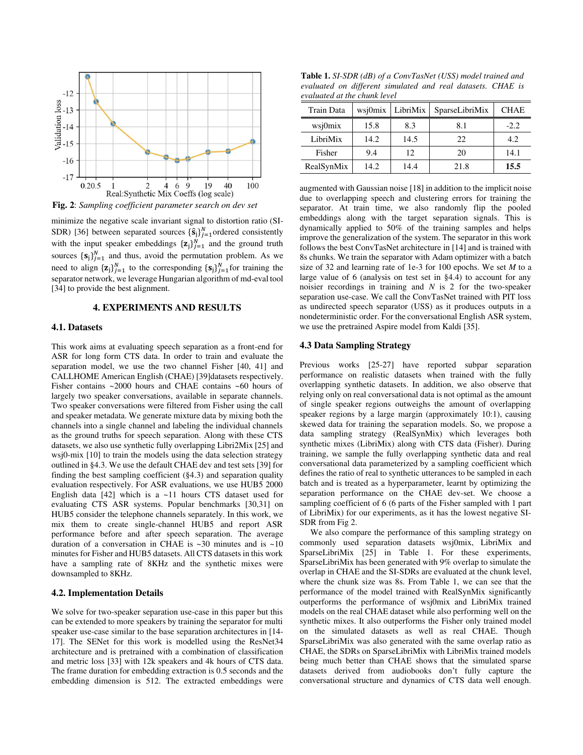

**Fig. 2**: *Sampling coefficient parameter search on dev set*

minimize the negative scale invariant signal to distortion ratio (SI-SDR) [36] between separated sources  $\{\hat{\mathbf{s}}_j\}_{j=1}^N$  ordered consistently with the input speaker embeddings  $\{z_j\}_{j=1}^N$  and the ground truth sources  $\{s_j\}_{j=1}^N$  and thus, avoid the permutation problem. As we need to align  $\{z_j\}_{j=1}^N$  to the corresponding  $\{s_j\}_{j=1}^N$  for training the separator network, we leverage Hungarian algorithm of md-eval tool [34] to provide the best alignment.

#### **4. EXPERIMENTS AND RESULTS**

#### **4.1. Datasets**

This work aims at evaluating speech separation as a front-end for ASR for long form CTS data. In order to train and evaluate the separation model, we use the two channel Fisher [40, 41] and CALLHOME American English (CHAE) [39]datasets respectively. Fisher contains ~2000 hours and CHAE contains ~60 hours of largely two speaker conversations, available in separate channels. Two speaker conversations were filtered from Fisher using the call and speaker metadata. We generate mixture data by mixing both the channels into a single channel and labeling the individual channels as the ground truths for speech separation. Along with these CTS datasets, we also use synthetic fully overlapping Libri2Mix [25] and wsj0-mix [10] to train the models using the data selection strategy outlined in §4.3. We use the default CHAE dev and test sets [39] for finding the best sampling coefficient (§4.3) and separation quality evaluation respectively. For ASR evaluations, we use HUB5 2000 English data  $[42]$  which is a ~11 hours CTS dataset used for evaluating CTS ASR systems. Popular benchmarks [30,31] on HUB5 consider the telephone channels separately. In this work, we mix them to create single-channel HUB5 and report ASR performance before and after speech separation. The average duration of a conversation in CHAE is  $~30$  minutes and is  $~10$ minutes for Fisher and HUB5 datasets. All CTS datasets in this work have a sampling rate of 8KHz and the synthetic mixes were downsampled to 8KHz.

#### **4.2. Implementation Details**

We solve for two-speaker separation use-case in this paper but this can be extended to more speakers by training the separator for multi speaker use-case similar to the base separation architectures in [14- 17]. The SENet for this work is modelled using the ResNet34 architecture and is pretrained with a combination of classification and metric loss [33] with 12k speakers and 4k hours of CTS data. The frame duration for embedding extraction is 0.5 seconds and the embedding dimension is 512. The extracted embeddings were

**Table 1.** *SI-SDR (dB) of a ConvTasNet (USS) model trained and evaluated on different simulated and real datasets. CHAE is evaluated at the chunk level* 

| Train Data | wsj0mix | LibriMix | SparseLibriMix | <b>CHAE</b> |
|------------|---------|----------|----------------|-------------|
| wsj0mix    | 15.8    | 8.3      | 8.1            | $-2.2$      |
| LibriMix   | 14.2    | 14.5     | 22.            | 4.2         |
| Fisher     | 9.4     | 12       | 20             | 14.1        |
| RealSynMix | 14.2    | 14.4     | 21.8           | 15.5        |

augmented with Gaussian noise [18] in addition to the implicit noise due to overlapping speech and clustering errors for training the separator. At train time, we also randomly flip the pooled embeddings along with the target separation signals. This is dynamically applied to 50% of the training samples and helps improve the generalization of the system. The separator in this work follows the best ConvTasNet architecture in [14] and is trained with 8s chunks. We train the separator with Adam optimizer with a batch size of 32 and learning rate of 1e-3 for 100 epochs. We set *M* to a large value of 6 (analysis on test set in  $\S 4.4$ ) to account for any noisier recordings in training and *N* is 2 for the two-speaker separation use-case. We call the ConvTasNet trained with PIT loss as undirected speech separator (USS) as it produces outputs in a nondeterministic order. For the conversational English ASR system, we use the pretrained Aspire model from Kaldi [35].

#### **4.3 Data Sampling Strategy**

Previous works [25-27] have reported subpar separation performance on realistic datasets when trained with the fully overlapping synthetic datasets. In addition, we also observe that relying only on real conversational data is not optimal as the amount of single speaker regions outweighs the amount of overlapping speaker regions by a large margin (approximately 10:1), causing skewed data for training the separation models. So, we propose a data sampling strategy (RealSynMix) which leverages both synthetic mixes (LibriMix) along with CTS data (Fisher). During training, we sample the fully overlapping synthetic data and real conversational data parameterized by a sampling coefficient which defines the ratio of real to synthetic utterances to be sampled in each batch and is treated as a hyperparameter, learnt by optimizing the separation performance on the CHAE dev-set. We choose a sampling coefficient of 6 (6 parts of the Fisher sampled with 1 part of LibriMix) for our experiments, as it has the lowest negative SI-SDR from Fig 2.

 We also compare the performance of this sampling strategy on commonly used separation datasets wsj0mix, LibriMix and SparseLibriMix [25] in Table 1. For these experiments, SparseLibriMix has been generated with 9% overlap to simulate the overlap in CHAE and the SI-SDRs are evaluated at the chunk level, where the chunk size was 8s. From Table 1, we can see that the performance of the model trained with RealSynMix significantly outperforms the performance of wsj0mix and LibriMix trained models on the real CHAE dataset while also performing well on the synthetic mixes. It also outperforms the Fisher only trained model on the simulated datasets as well as real CHAE. Though SparseLibriMix was also generated with the same overlap ratio as CHAE, the SDRs on SparseLibriMix with LibriMix trained models being much better than CHAE shows that the simulated sparse datasets derived from audiobooks don't fully capture the conversational structure and dynamics of CTS data well enough.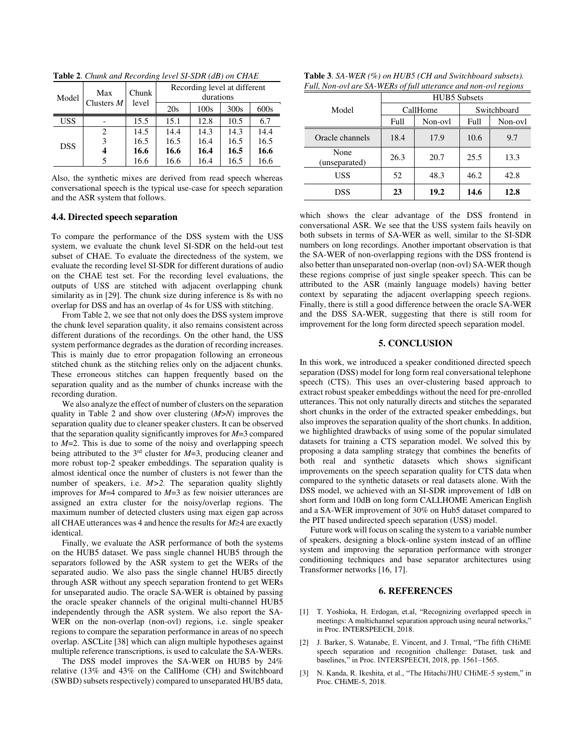| Model      | Max<br>Clusters $M$ | Chunk<br>level | Recording level at different<br>durations |      |      |      |
|------------|---------------------|----------------|-------------------------------------------|------|------|------|
|            |                     |                | 20s                                       | 100s | 300s | 600s |
| <b>USS</b> |                     | 15.5           | 15.1                                      | 12.8 | 10.5 | 6.7  |
| <b>DSS</b> | 2                   | 14.5           | 14.4                                      | 14.3 | 14.3 | 14.4 |
|            | 3                   | 16.5           | 16.5                                      | 16.4 | 16.5 | 16.5 |
|            |                     | 16.6           | 16.6                                      | 16.4 | 16.5 | 16.6 |
|            |                     | 16.6           | 16.6                                      | 16.4 | 16.5 | 16.6 |

**Table 2**. *Chunk and Recording level SI-SDR (dB) on CHAE* 

Also, the synthetic mixes are derived from read speech whereas conversational speech is the typical use-case for speech separation and the ASR system that follows.

## **4.4. Directed speech separation**

To compare the performance of the DSS system with the USS system, we evaluate the chunk level SI-SDR on the held-out test subset of CHAE. To evaluate the directedness of the system, we evaluate the recording level SI-SDR for different durations of audio on the CHAE test set. For the recording level evaluations, the outputs of USS are stitched with adjacent overlapping chunk similarity as in [29]. The chunk size during inference is 8s with no overlap for DSS and has an overlap of 4s for USS with stitching.

 From Table 2, we see that not only does the DSS system improve the chunk level separation quality, it also remains consistent across different durations of the recordings. On the other hand, the USS system performance degrades as the duration of recording increases. This is mainly due to error propagation following an erroneous stitched chunk as the stitching relies only on the adjacent chunks. These erroneous stitches can happen frequently based on the separation quality and as the number of chunks increase with the recording duration.

 We also analyze the effect of number of clusters on the separation quality in Table 2 and show over clustering (*M*>*N*) improves the separation quality due to cleaner speaker clusters. It can be observed that the separation quality significantly improves for *M*=3 compared to *M*=2. This is due to some of the noisy and overlapping speech being attributed to the 3rd cluster for *M*=3, producing cleaner and more robust top-2 speaker embeddings. The separation quality is almost identical once the number of clusters is not fewer than the number of speakers, i.e. *M>2.* The separation quality slightly improves for *M*=4 compared to *M*=3 as few noisier utterances are assigned an extra cluster for the noisy/overlap regions. The maximum number of detected clusters using max eigen gap across all CHAE utterances was 4 and hence the results for  $M \geq 4$  are exactly identical.

 Finally, we evaluate the ASR performance of both the systems on the HUB5 dataset. We pass single channel HUB5 through the separators followed by the ASR system to get the WERs of the separated audio. We also pass the single channel HUB5 directly through ASR without any speech separation frontend to get WERs for unseparated audio. The oracle SA-WER is obtained by passing the oracle speaker channels of the original multi-channel HUB5 independently through the ASR system. We also report the SA-WER on the non-overlap (non-ovl) regions, i.e. single speaker regions to compare the separation performance in areas of no speech overlap. ASCLite [38] which can align multiple hypotheses against multiple reference transcriptions, is used to calculate the SA-WERs.

 The DSS model improves the SA-WER on HUB5 by 24% relative (13% and 43% on the CallHome (CH) and Switchboard (SWBD) subsets respectively) compared to unseparated HUB5 data,

| <b>Table 3.</b> SA-WER $(\%)$ on HUB5 (CH and Switchboard subsets). |  |
|---------------------------------------------------------------------|--|
| Full, Non-ovl are SA-WERs of full utterance and non-ovl regions     |  |

|                       | <b>HUB5</b> Subsets |         |             |         |  |
|-----------------------|---------------------|---------|-------------|---------|--|
| Model                 | CallHome            |         | Switchboard |         |  |
|                       | Full                | Non-ovl | Full        | Non-ovl |  |
| Oracle channels       | 18.4                | 17.9    | 10.6        | 9.7     |  |
| None<br>(unseparated) | 26.3                | 20.7    | 25.5        | 13.3    |  |
| USS                   | 52                  | 48.3    | 46.2        | 42.8    |  |
| DSS                   | 23                  | 19.2    | 14.6        | 12.8    |  |

which shows the clear advantage of the DSS frontend in conversational ASR. We see that the USS system fails heavily on both subsets in terms of SA-WER as well, similar to the SI-SDR numbers on long recordings. Another important observation is that the SA-WER of non-overlapping regions with the DSS frontend is also better than unseparated non-overlap (non-ovl) SA-WER though these regions comprise of just single speaker speech. This can be attributed to the ASR (mainly language models) having better context by separating the adjacent overlapping speech regions. Finally, there is still a good difference between the oracle SA-WER and the DSS SA-WER, suggesting that there is still room for improvement for the long form directed speech separation model.

#### **5. CONCLUSION**

In this work, we introduced a speaker conditioned directed speech separation (DSS) model for long form real conversational telephone speech (CTS). This uses an over-clustering based approach to extract robust speaker embeddings without the need for pre-enrolled utterances. This not only naturally directs and stitches the separated short chunks in the order of the extracted speaker embeddings, but also improves the separation quality of the short chunks. In addition, we highlighted drawbacks of using some of the popular simulated datasets for training a CTS separation model. We solved this by proposing a data sampling strategy that combines the benefits of both real and synthetic datasets which shows significant improvements on the speech separation quality for CTS data when compared to the synthetic datasets or real datasets alone. With the DSS model, we achieved with an SI-SDR improvement of 1dB on short form and 10dB on long form CALLHOME American English and a SA-WER improvement of 30% on Hub5 dataset compared to the PIT based undirected speech separation (USS) model.

 Future work will focus on scaling the system to a variable number of speakers, designing a block-online system instead of an offline system and improving the separation performance with stronger conditioning techniques and base separator architectures using Transformer networks [16, 17].

#### **6. REFERENCES**

- [1] T. Yoshioka, H. Erdogan, et.al, "Recognizing overlapped speech in meetings: A multichannel separation approach using neural networks," in Proc. INTERSPEECH, 2018.
- [2] J. Barker, S. Watanabe, E. Vincent, and J. Trmal, "The fifth CHiME speech separation and recognition challenge: Dataset, task and baselines," in Proc. INTERSPEECH, 2018, pp. 1561-1565.
- [3] N. Kanda, R. Ikeshita, et al., "The Hitachi/JHU CHiME-5 system," in Proc. CHiME-5, 2018.